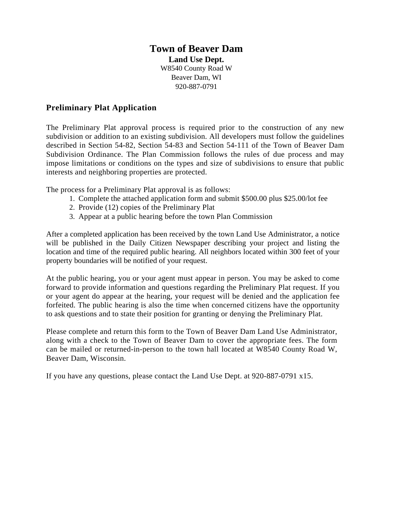## **Town of Beaver Dam Land Use Dept.**  W8540 County Road W Beaver Dam, WI 920-887-0791

#### **Preliminary Plat Application**

The Preliminary Plat approval process is required prior to the construction of any new subdivision or addition to an existing subdivision. All developers must follow the guidelines described in Section 54-82, Section 54-83 and Section 54-111 of the Town of Beaver Dam Subdivision Ordinance. The Plan Commission follows the rules of due process and may impose limitations or conditions on the types and size of subdivisions to ensure that public interests and neighboring properties are protected.

The process for a Preliminary Plat approval is as follows:

- 1. Complete the attached application form and submit \$500.00 plus \$25.00/lot fee
- 2. Provide (12) copies of the Preliminary Plat
- 3. Appear at a public hearing before the town Plan Commission

After a completed application has been received by the town Land Use Administrator, a notice will be published in the Daily Citizen Newspaper describing your project and listing the location and time of the required public hearing. All neighbors located within 300 feet of your property boundaries will be notified of your request.

At the public hearing, you or your agent must appear in person. You may be asked to come forward to provide information and questions regarding the Preliminary Plat request. If you or your agent do appear at the hearing, your request will be denied and the application fee forfeited. The public hearing is also the time when concerned citizens have the opportunity to ask questions and to state their position for granting or denying the Preliminary Plat.

Please complete and return this form to the Town of Beaver Dam Land Use Administrator, along with a check to the Town of Beaver Dam to cover the appropriate fees. The form can be mailed or returned-in-person to the town hall located at W8540 County Road W, Beaver Dam, Wisconsin.

If you have any questions, please contact the Land Use Dept. at 920-887-0791 x15.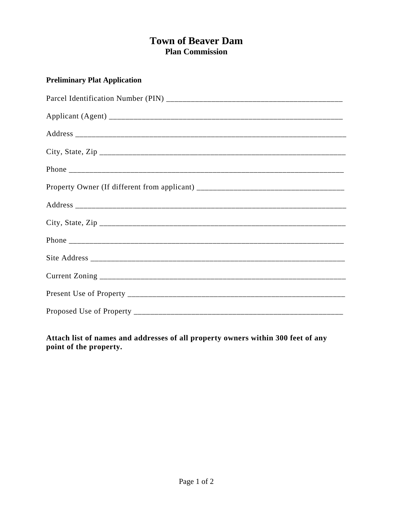# **Town of Beaver Dam Plan Commission**

## **Preliminary Plat Application**

**Attach list of names and addresses of all property owners within 300 feet of any point of the property.**